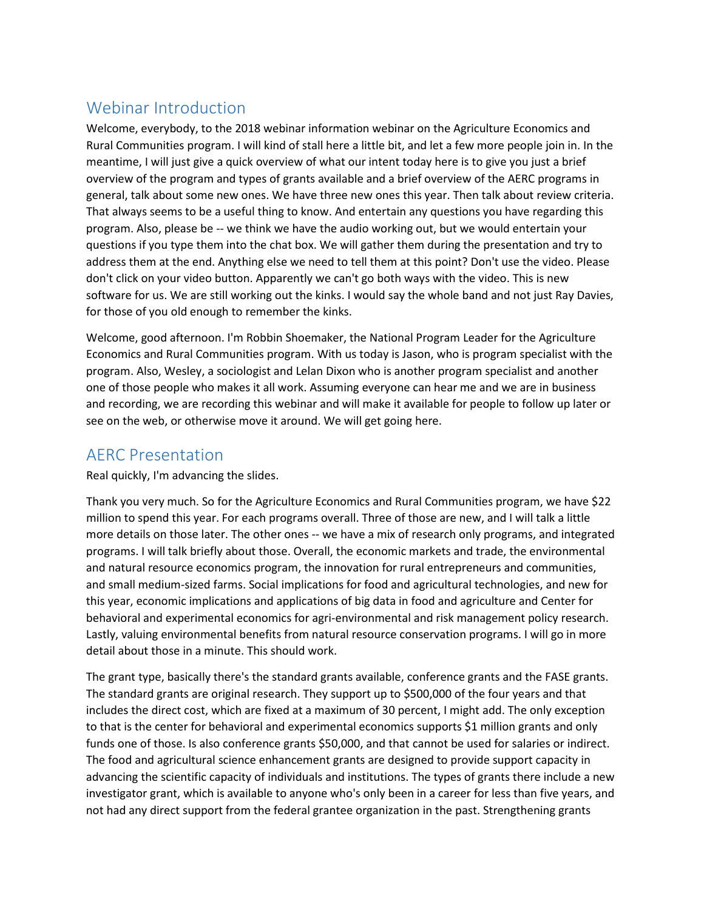## Webinar Introduction

Welcome, everybody, to the 2018 webinar information webinar on the Agriculture Economics and Rural Communities program. I will kind of stall here a little bit, and let a few more people join in. In the meantime, I will just give a quick overview of what our intent today here is to give you just a brief overview of the program and types of grants available and a brief overview of the AERC programs in general, talk about some new ones. We have three new ones this year. Then talk about review criteria. That always seems to be a useful thing to know. And entertain any questions you have regarding this program. Also, please be -- we think we have the audio working out, but we would entertain your questions if you type them into the chat box. We will gather them during the presentation and try to address them at the end. Anything else we need to tell them at this point? Don't use the video. Please don't click on your video button. Apparently we can't go both ways with the video. This is new software for us. We are still working out the kinks. I would say the whole band and not just Ray Davies, for those of you old enough to remember the kinks.

Welcome, good afternoon. I'm Robbin Shoemaker, the National Program Leader for the Agriculture Economics and Rural Communities program. With us today is Jason, who is program specialist with the program. Also, Wesley, a sociologist and Lelan Dixon who is another program specialist and another one of those people who makes it all work. Assuming everyone can hear me and we are in business and recording, we are recording this webinar and will make it available for people to follow up later or see on the web, or otherwise move it around. We will get going here.

## AERC Presentation

Real quickly, I'm advancing the slides.

Thank you very much. So for the Agriculture Economics and Rural Communities program, we have \$22 million to spend this year. For each programs overall. Three of those are new, and I will talk a little more details on those later. The other ones -- we have a mix of research only programs, and integrated programs. I will talk briefly about those. Overall, the economic markets and trade, the environmental and natural resource economics program, the innovation for rural entrepreneurs and communities, and small medium-sized farms. Social implications for food and agricultural technologies, and new for this year, economic implications and applications of big data in food and agriculture and Center for behavioral and experimental economics for agri-environmental and risk management policy research. Lastly, valuing environmental benefits from natural resource conservation programs. I will go in more detail about those in a minute. This should work.

The grant type, basically there's the standard grants available, conference grants and the FASE grants. The standard grants are original research. They support up to \$500,000 of the four years and that includes the direct cost, which are fixed at a maximum of 30 percent, I might add. The only exception to that is the center for behavioral and experimental economics supports \$1 million grants and only funds one of those. Is also conference grants \$50,000, and that cannot be used for salaries or indirect. The food and agricultural science enhancement grants are designed to provide support capacity in advancing the scientific capacity of individuals and institutions. The types of grants there include a new investigator grant, which is available to anyone who's only been in a career for less than five years, and not had any direct support from the federal grantee organization in the past. Strengthening grants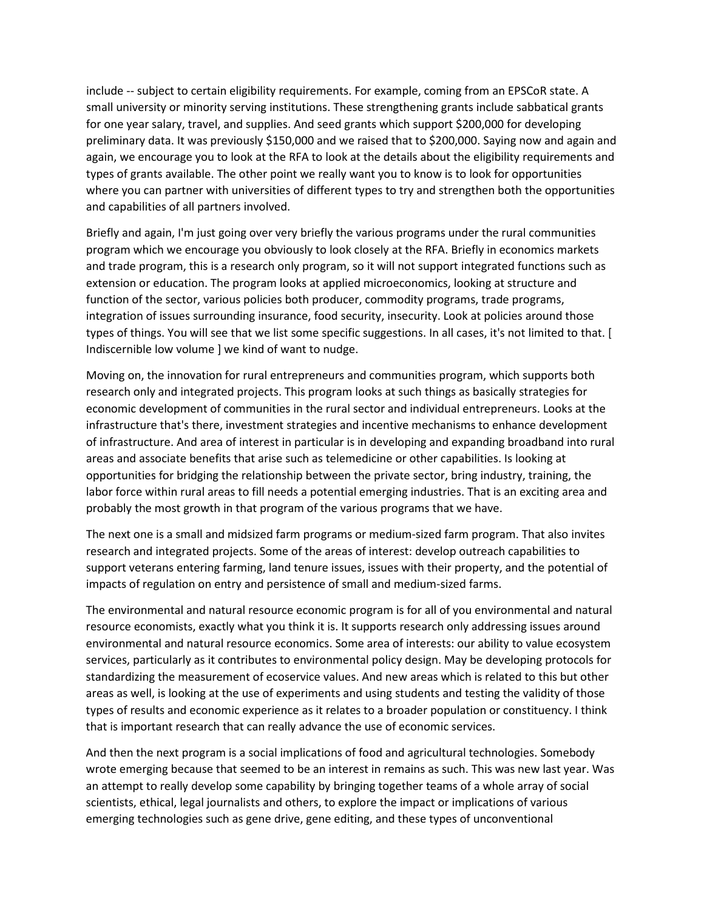include -- subject to certain eligibility requirements. For example, coming from an EPSCoR state. A small university or minority serving institutions. These strengthening grants include sabbatical grants for one year salary, travel, and supplies. And seed grants which support \$200,000 for developing preliminary data. It was previously \$150,000 and we raised that to \$200,000. Saying now and again and again, we encourage you to look at the RFA to look at the details about the eligibility requirements and types of grants available. The other point we really want you to know is to look for opportunities where you can partner with universities of different types to try and strengthen both the opportunities and capabilities of all partners involved.

Briefly and again, I'm just going over very briefly the various programs under the rural communities program which we encourage you obviously to look closely at the RFA. Briefly in economics markets and trade program, this is a research only program, so it will not support integrated functions such as extension or education. The program looks at applied microeconomics, looking at structure and function of the sector, various policies both producer, commodity programs, trade programs, integration of issues surrounding insurance, food security, insecurity. Look at policies around those types of things. You will see that we list some specific suggestions. In all cases, it's not limited to that. [ Indiscernible low volume ] we kind of want to nudge.

Moving on, the innovation for rural entrepreneurs and communities program, which supports both research only and integrated projects. This program looks at such things as basically strategies for economic development of communities in the rural sector and individual entrepreneurs. Looks at the infrastructure that's there, investment strategies and incentive mechanisms to enhance development of infrastructure. And area of interest in particular is in developing and expanding broadband into rural areas and associate benefits that arise such as telemedicine or other capabilities. Is looking at opportunities for bridging the relationship between the private sector, bring industry, training, the labor force within rural areas to fill needs a potential emerging industries. That is an exciting area and probably the most growth in that program of the various programs that we have.

The next one is a small and midsized farm programs or medium-sized farm program. That also invites research and integrated projects. Some of the areas of interest: develop outreach capabilities to support veterans entering farming, land tenure issues, issues with their property, and the potential of impacts of regulation on entry and persistence of small and medium-sized farms.

The environmental and natural resource economic program is for all of you environmental and natural resource economists, exactly what you think it is. It supports research only addressing issues around environmental and natural resource economics. Some area of interests: our ability to value ecosystem services, particularly as it contributes to environmental policy design. May be developing protocols for standardizing the measurement of ecoservice values. And new areas which is related to this but other areas as well, is looking at the use of experiments and using students and testing the validity of those types of results and economic experience as it relates to a broader population or constituency. I think that is important research that can really advance the use of economic services.

And then the next program is a social implications of food and agricultural technologies. Somebody wrote emerging because that seemed to be an interest in remains as such. This was new last year. Was an attempt to really develop some capability by bringing together teams of a whole array of social scientists, ethical, legal journalists and others, to explore the impact or implications of various emerging technologies such as gene drive, gene editing, and these types of unconventional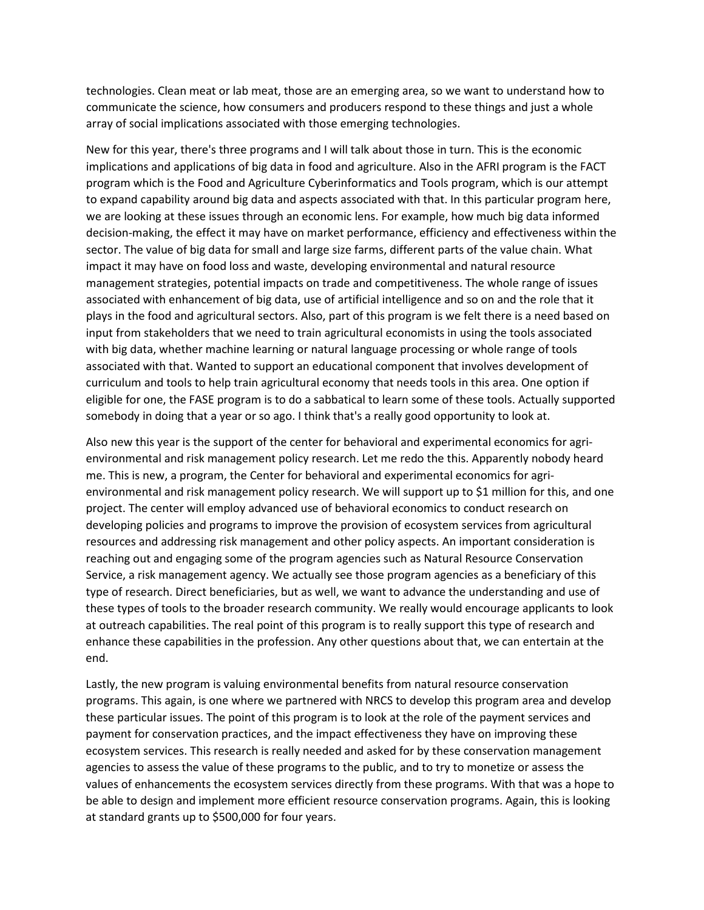technologies. Clean meat or lab meat, those are an emerging area, so we want to understand how to communicate the science, how consumers and producers respond to these things and just a whole array of social implications associated with those emerging technologies.

New for this year, there's three programs and I will talk about those in turn. This is the economic implications and applications of big data in food and agriculture. Also in the AFRI program is the FACT program which is the Food and Agriculture Cyberinformatics and Tools program, which is our attempt to expand capability around big data and aspects associated with that. In this particular program here, we are looking at these issues through an economic lens. For example, how much big data informed decision-making, the effect it may have on market performance, efficiency and effectiveness within the sector. The value of big data for small and large size farms, different parts of the value chain. What impact it may have on food loss and waste, developing environmental and natural resource management strategies, potential impacts on trade and competitiveness. The whole range of issues associated with enhancement of big data, use of artificial intelligence and so on and the role that it plays in the food and agricultural sectors. Also, part of this program is we felt there is a need based on input from stakeholders that we need to train agricultural economists in using the tools associated with big data, whether machine learning or natural language processing or whole range of tools associated with that. Wanted to support an educational component that involves development of curriculum and tools to help train agricultural economy that needs tools in this area. One option if eligible for one, the FASE program is to do a sabbatical to learn some of these tools. Actually supported somebody in doing that a year or so ago. I think that's a really good opportunity to look at.

Also new this year is the support of the center for behavioral and experimental economics for agrienvironmental and risk management policy research. Let me redo the this. Apparently nobody heard me. This is new, a program, the Center for behavioral and experimental economics for agrienvironmental and risk management policy research. We will support up to \$1 million for this, and one project. The center will employ advanced use of behavioral economics to conduct research on developing policies and programs to improve the provision of ecosystem services from agricultural resources and addressing risk management and other policy aspects. An important consideration is reaching out and engaging some of the program agencies such as Natural Resource Conservation Service, a risk management agency. We actually see those program agencies as a beneficiary of this type of research. Direct beneficiaries, but as well, we want to advance the understanding and use of these types of tools to the broader research community. We really would encourage applicants to look at outreach capabilities. The real point of this program is to really support this type of research and enhance these capabilities in the profession. Any other questions about that, we can entertain at the end.

Lastly, the new program is valuing environmental benefits from natural resource conservation programs. This again, is one where we partnered with NRCS to develop this program area and develop these particular issues. The point of this program is to look at the role of the payment services and payment for conservation practices, and the impact effectiveness they have on improving these ecosystem services. This research is really needed and asked for by these conservation management agencies to assess the value of these programs to the public, and to try to monetize or assess the values of enhancements the ecosystem services directly from these programs. With that was a hope to be able to design and implement more efficient resource conservation programs. Again, this is looking at standard grants up to \$500,000 for four years.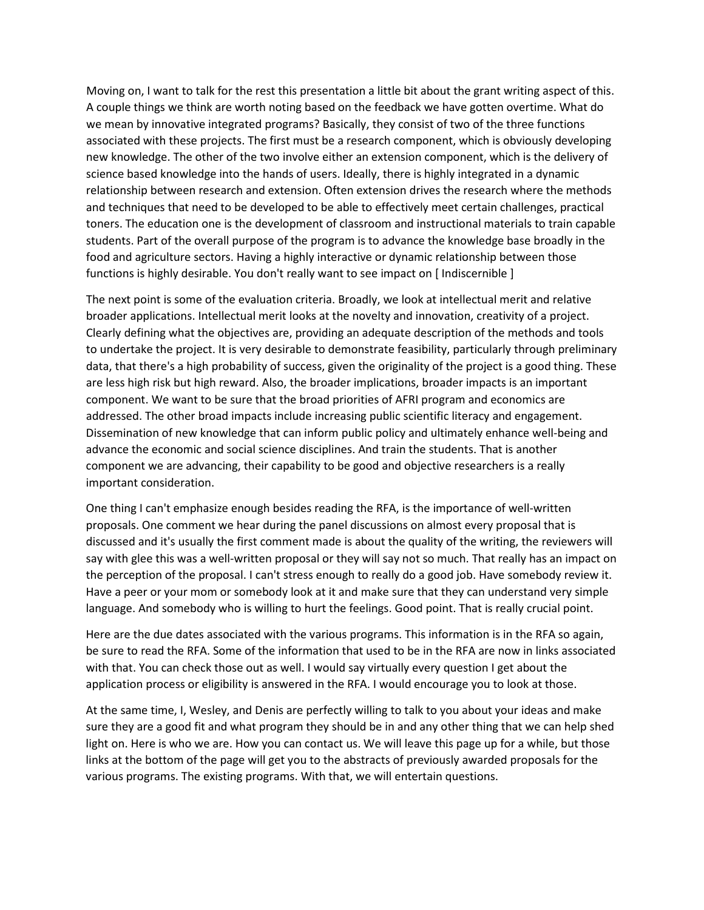Moving on, I want to talk for the rest this presentation a little bit about the grant writing aspect of this. A couple things we think are worth noting based on the feedback we have gotten overtime. What do we mean by innovative integrated programs? Basically, they consist of two of the three functions associated with these projects. The first must be a research component, which is obviously developing new knowledge. The other of the two involve either an extension component, which is the delivery of science based knowledge into the hands of users. Ideally, there is highly integrated in a dynamic relationship between research and extension. Often extension drives the research where the methods and techniques that need to be developed to be able to effectively meet certain challenges, practical toners. The education one is the development of classroom and instructional materials to train capable students. Part of the overall purpose of the program is to advance the knowledge base broadly in the food and agriculture sectors. Having a highly interactive or dynamic relationship between those functions is highly desirable. You don't really want to see impact on [ Indiscernible ]

The next point is some of the evaluation criteria. Broadly, we look at intellectual merit and relative broader applications. Intellectual merit looks at the novelty and innovation, creativity of a project. Clearly defining what the objectives are, providing an adequate description of the methods and tools to undertake the project. It is very desirable to demonstrate feasibility, particularly through preliminary data, that there's a high probability of success, given the originality of the project is a good thing. These are less high risk but high reward. Also, the broader implications, broader impacts is an important component. We want to be sure that the broad priorities of AFRI program and economics are addressed. The other broad impacts include increasing public scientific literacy and engagement. Dissemination of new knowledge that can inform public policy and ultimately enhance well-being and advance the economic and social science disciplines. And train the students. That is another component we are advancing, their capability to be good and objective researchers is a really important consideration.

One thing I can't emphasize enough besides reading the RFA, is the importance of well-written proposals. One comment we hear during the panel discussions on almost every proposal that is discussed and it's usually the first comment made is about the quality of the writing, the reviewers will say with glee this was a well-written proposal or they will say not so much. That really has an impact on the perception of the proposal. I can't stress enough to really do a good job. Have somebody review it. Have a peer or your mom or somebody look at it and make sure that they can understand very simple language. And somebody who is willing to hurt the feelings. Good point. That is really crucial point.

Here are the due dates associated with the various programs. This information is in the RFA so again, be sure to read the RFA. Some of the information that used to be in the RFA are now in links associated with that. You can check those out as well. I would say virtually every question I get about the application process or eligibility is answered in the RFA. I would encourage you to look at those.

At the same time, I, Wesley, and Denis are perfectly willing to talk to you about your ideas and make sure they are a good fit and what program they should be in and any other thing that we can help shed light on. Here is who we are. How you can contact us. We will leave this page up for a while, but those links at the bottom of the page will get you to the abstracts of previously awarded proposals for the various programs. The existing programs. With that, we will entertain questions.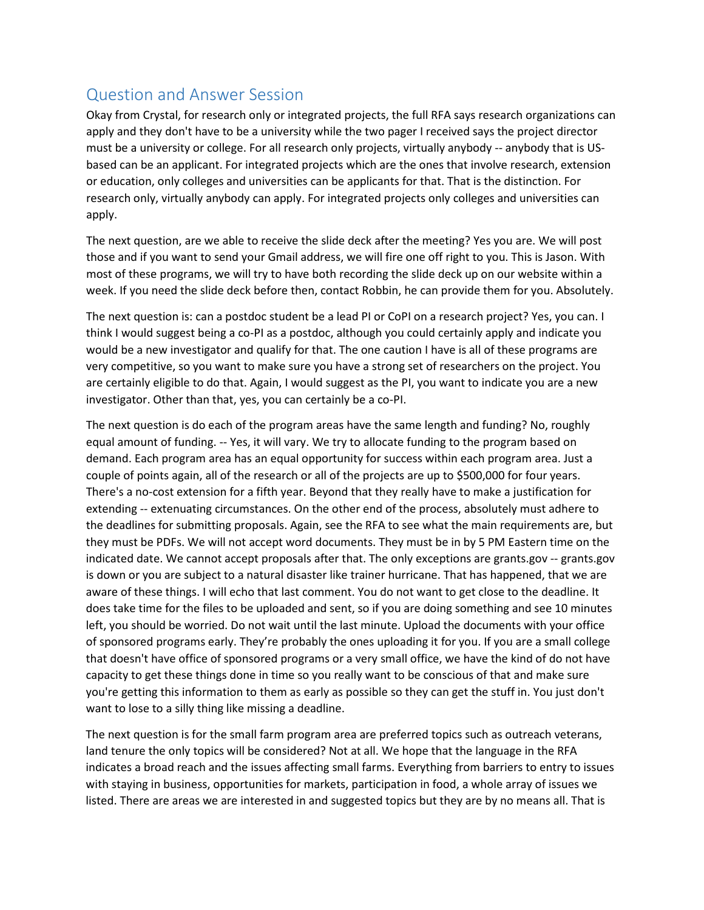## Question and Answer Session

Okay from Crystal, for research only or integrated projects, the full RFA says research organizations can apply and they don't have to be a university while the two pager I received says the project director must be a university or college. For all research only projects, virtually anybody -- anybody that is USbased can be an applicant. For integrated projects which are the ones that involve research, extension or education, only colleges and universities can be applicants for that. That is the distinction. For research only, virtually anybody can apply. For integrated projects only colleges and universities can apply.

The next question, are we able to receive the slide deck after the meeting? Yes you are. We will post those and if you want to send your Gmail address, we will fire one off right to you. This is Jason. With most of these programs, we will try to have both recording the slide deck up on our website within a week. If you need the slide deck before then, contact Robbin, he can provide them for you. Absolutely.

The next question is: can a postdoc student be a lead PI or CoPI on a research project? Yes, you can. I think I would suggest being a co-PI as a postdoc, although you could certainly apply and indicate you would be a new investigator and qualify for that. The one caution I have is all of these programs are very competitive, so you want to make sure you have a strong set of researchers on the project. You are certainly eligible to do that. Again, I would suggest as the PI, you want to indicate you are a new investigator. Other than that, yes, you can certainly be a co-PI.

The next question is do each of the program areas have the same length and funding? No, roughly equal amount of funding. -- Yes, it will vary. We try to allocate funding to the program based on demand. Each program area has an equal opportunity for success within each program area. Just a couple of points again, all of the research or all of the projects are up to \$500,000 for four years. There's a no-cost extension for a fifth year. Beyond that they really have to make a justification for extending -- extenuating circumstances. On the other end of the process, absolutely must adhere to the deadlines for submitting proposals. Again, see the RFA to see what the main requirements are, but they must be PDFs. We will not accept word documents. They must be in by 5 PM Eastern time on the indicated date. We cannot accept proposals after that. The only exceptions are grants.gov -- grants.gov is down or you are subject to a natural disaster like trainer hurricane. That has happened, that we are aware of these things. I will echo that last comment. You do not want to get close to the deadline. It does take time for the files to be uploaded and sent, so if you are doing something and see 10 minutes left, you should be worried. Do not wait until the last minute. Upload the documents with your office of sponsored programs early. They're probably the ones uploading it for you. If you are a small college that doesn't have office of sponsored programs or a very small office, we have the kind of do not have capacity to get these things done in time so you really want to be conscious of that and make sure you're getting this information to them as early as possible so they can get the stuff in. You just don't want to lose to a silly thing like missing a deadline.

The next question is for the small farm program area are preferred topics such as outreach veterans, land tenure the only topics will be considered? Not at all. We hope that the language in the RFA indicates a broad reach and the issues affecting small farms. Everything from barriers to entry to issues with staying in business, opportunities for markets, participation in food, a whole array of issues we listed. There are areas we are interested in and suggested topics but they are by no means all. That is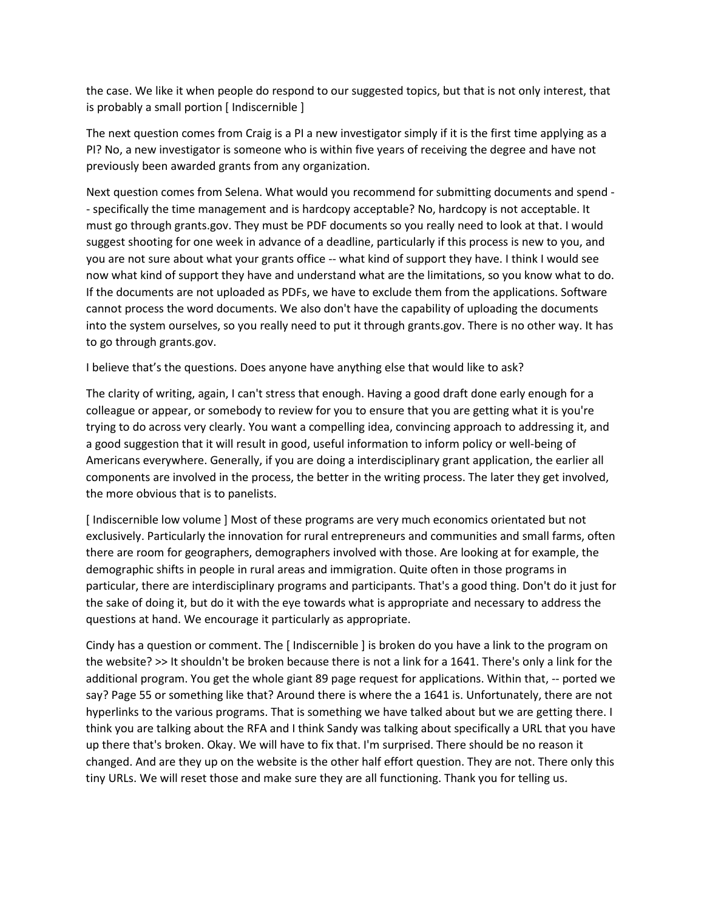the case. We like it when people do respond to our suggested topics, but that is not only interest, that is probably a small portion [ Indiscernible ]

The next question comes from Craig is a PI a new investigator simply if it is the first time applying as a PI? No, a new investigator is someone who is within five years of receiving the degree and have not previously been awarded grants from any organization.

Next question comes from Selena. What would you recommend for submitting documents and spend - - specifically the time management and is hardcopy acceptable? No, hardcopy is not acceptable. It must go through grants.gov. They must be PDF documents so you really need to look at that. I would suggest shooting for one week in advance of a deadline, particularly if this process is new to you, and you are not sure about what your grants office -- what kind of support they have. I think I would see now what kind of support they have and understand what are the limitations, so you know what to do. If the documents are not uploaded as PDFs, we have to exclude them from the applications. Software cannot process the word documents. We also don't have the capability of uploading the documents into the system ourselves, so you really need to put it through grants.gov. There is no other way. It has to go through grants.gov.

I believe that's the questions. Does anyone have anything else that would like to ask?

The clarity of writing, again, I can't stress that enough. Having a good draft done early enough for a colleague or appear, or somebody to review for you to ensure that you are getting what it is you're trying to do across very clearly. You want a compelling idea, convincing approach to addressing it, and a good suggestion that it will result in good, useful information to inform policy or well-being of Americans everywhere. Generally, if you are doing a interdisciplinary grant application, the earlier all components are involved in the process, the better in the writing process. The later they get involved, the more obvious that is to panelists.

[ Indiscernible low volume ] Most of these programs are very much economics orientated but not exclusively. Particularly the innovation for rural entrepreneurs and communities and small farms, often there are room for geographers, demographers involved with those. Are looking at for example, the demographic shifts in people in rural areas and immigration. Quite often in those programs in particular, there are interdisciplinary programs and participants. That's a good thing. Don't do it just for the sake of doing it, but do it with the eye towards what is appropriate and necessary to address the questions at hand. We encourage it particularly as appropriate.

Cindy has a question or comment. The [ Indiscernible ] is broken do you have a link to the program on the website? >> It shouldn't be broken because there is not a link for a 1641. There's only a link for the additional program. You get the whole giant 89 page request for applications. Within that, -- ported we say? Page 55 or something like that? Around there is where the a 1641 is. Unfortunately, there are not hyperlinks to the various programs. That is something we have talked about but we are getting there. I think you are talking about the RFA and I think Sandy was talking about specifically a URL that you have up there that's broken. Okay. We will have to fix that. I'm surprised. There should be no reason it changed. And are they up on the website is the other half effort question. They are not. There only this tiny URLs. We will reset those and make sure they are all functioning. Thank you for telling us.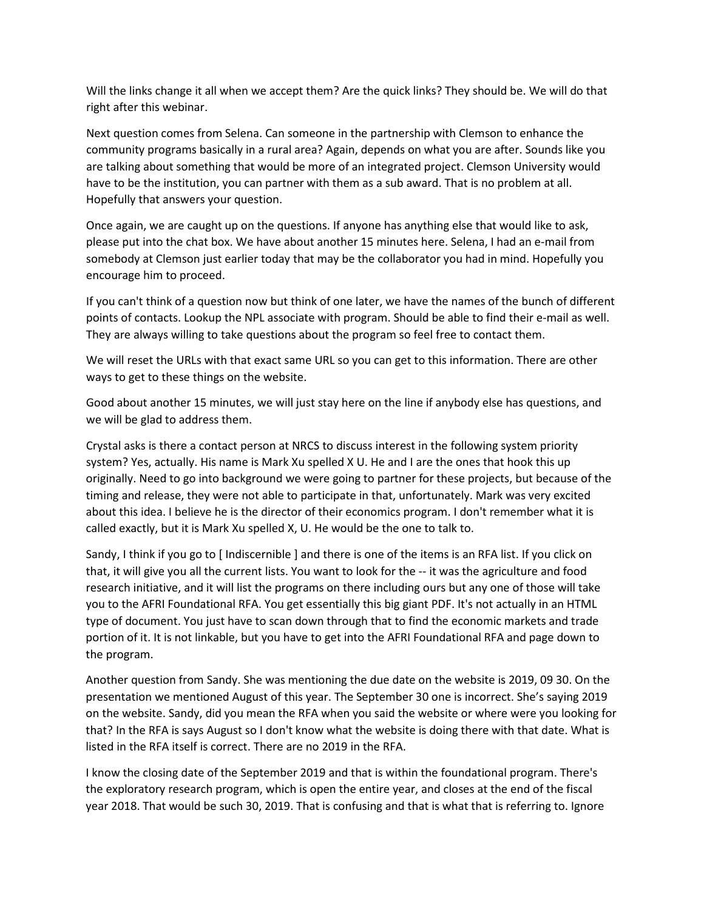Will the links change it all when we accept them? Are the quick links? They should be. We will do that right after this webinar.

Next question comes from Selena. Can someone in the partnership with Clemson to enhance the community programs basically in a rural area? Again, depends on what you are after. Sounds like you are talking about something that would be more of an integrated project. Clemson University would have to be the institution, you can partner with them as a sub award. That is no problem at all. Hopefully that answers your question.

Once again, we are caught up on the questions. If anyone has anything else that would like to ask, please put into the chat box. We have about another 15 minutes here. Selena, I had an e-mail from somebody at Clemson just earlier today that may be the collaborator you had in mind. Hopefully you encourage him to proceed.

If you can't think of a question now but think of one later, we have the names of the bunch of different points of contacts. Lookup the NPL associate with program. Should be able to find their e-mail as well. They are always willing to take questions about the program so feel free to contact them.

We will reset the URLs with that exact same URL so you can get to this information. There are other ways to get to these things on the website.

Good about another 15 minutes, we will just stay here on the line if anybody else has questions, and we will be glad to address them.

Crystal asks is there a contact person at NRCS to discuss interest in the following system priority system? Yes, actually. His name is Mark Xu spelled X U. He and I are the ones that hook this up originally. Need to go into background we were going to partner for these projects, but because of the timing and release, they were not able to participate in that, unfortunately. Mark was very excited about this idea. I believe he is the director of their economics program. I don't remember what it is called exactly, but it is Mark Xu spelled X, U. He would be the one to talk to.

Sandy, I think if you go to [ Indiscernible ] and there is one of the items is an RFA list. If you click on that, it will give you all the current lists. You want to look for the -- it was the agriculture and food research initiative, and it will list the programs on there including ours but any one of those will take you to the AFRI Foundational RFA. You get essentially this big giant PDF. It's not actually in an HTML type of document. You just have to scan down through that to find the economic markets and trade portion of it. It is not linkable, but you have to get into the AFRI Foundational RFA and page down to the program.

Another question from Sandy. She was mentioning the due date on the website is 2019, 09 30. On the presentation we mentioned August of this year. The September 30 one is incorrect. She's saying 2019 on the website. Sandy, did you mean the RFA when you said the website or where were you looking for that? In the RFA is says August so I don't know what the website is doing there with that date. What is listed in the RFA itself is correct. There are no 2019 in the RFA.

I know the closing date of the September 2019 and that is within the foundational program. There's the exploratory research program, which is open the entire year, and closes at the end of the fiscal year 2018. That would be such 30, 2019. That is confusing and that is what that is referring to. Ignore